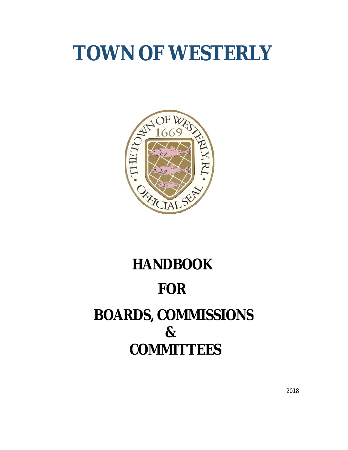# **TOWN OF WESTERLY**



## **HANDBOOK FOR BOARDS, COMMISSIONS & COMMITTEES**

2018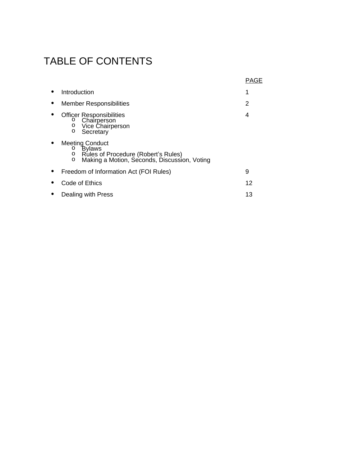### TABLE OF CONTENTS

|                                                                                                                                               | PAGE |
|-----------------------------------------------------------------------------------------------------------------------------------------------|------|
| Introduction                                                                                                                                  | 1    |
| <b>Member Responsibilities</b>                                                                                                                | 2    |
| <b>Officer Responsibilities</b><br>Chairperson<br>O<br>Vice Chairperson<br>O<br>Secretary<br>$\circ$                                          | 4    |
| <b>Meeting Conduct</b><br><b>Bylaws</b><br>O<br>Rules of Procedure (Robert's Rules)<br>Making a Motion, Seconds, Discussion, Voting<br>O<br>O |      |
| Freedom of Information Act (FOI Rules)                                                                                                        | 9    |
| Code of Ethics                                                                                                                                | 12   |
| Dealing with Press                                                                                                                            | 13   |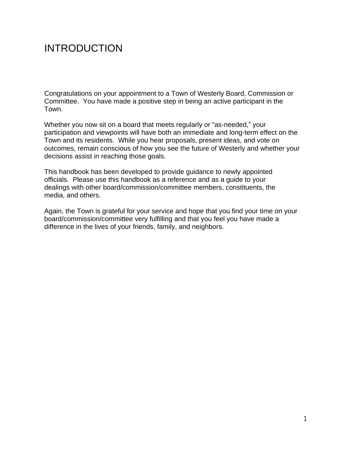### INTRODUCTION

Congratulations on your appointment to a Town of Westerly Board, Commission or Committee. You have made a positive step in being an active participant in the Town.

Whether you now sit on a board that meets regularly or "as-needed," your participation and viewpoints will have both an immediate and long-term effect on the Town and its residents. While you hear proposals, present ideas, and vote on outcomes, remain conscious of how you see the future of Westerly and whether your decisions assist in reaching those goals.

This handbook has been developed to provide guidance to newly appointed officials. Please use this handbook as a reference and as a guide to your dealings with other board/commission/committee members, constituents, the media, and others.

Again, the Town is grateful for your service and hope that you find your time on your board/commission/committee very fulfilling and that you feel you have made a difference in the lives of your friends, family, and neighbors.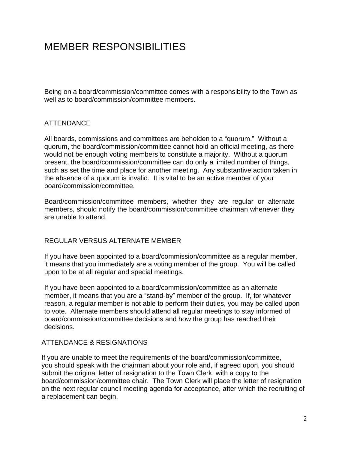### MEMBER RESPONSIBILITIES

Being on a board/commission/committee comes with a responsibility to the Town as well as to board/commission/committee members.

#### **ATTENDANCE**

All boards, commissions and committees are beholden to a "quorum." Without a quorum, the board/commission/committee cannot hold an official meeting, as there would not be enough voting members to constitute a majority. Without a quorum present, the board/commission/committee can do only a limited number of things, such as set the time and place for another meeting. Any substantive action taken in the absence of a quorum is invalid. It is vital to be an active member of your board/commission/committee.

Board/commission/committee members, whether they are regular or alternate members, should notify the board/commission/committee chairman whenever they are unable to attend.

#### REGULAR VERSUS ALTERNATE MEMBER

If you have been appointed to a board/commission/committee as a regular member, it means that you immediately are a voting member of the group. You will be called upon to be at all regular and special meetings.

If you have been appointed to a board/commission/committee as an alternate member, it means that you are a "stand-by" member of the group. If, for whatever reason, a regular member is not able to perform their duties, you may be called upon to vote. Alternate members should attend all regular meetings to stay informed of board/commission/committee decisions and how the group has reached their decisions.

#### ATTENDANCE & RESIGNATIONS

If you are unable to meet the requirements of the board/commission/committee, you should speak with the chairman about your role and, if agreed upon, you should submit the original letter of resignation to the Town Clerk, with a copy to the board/commission/committee chair. The Town Clerk will place the letter of resignation on the next regular council meeting agenda for acceptance, after which the recruiting of a replacement can begin.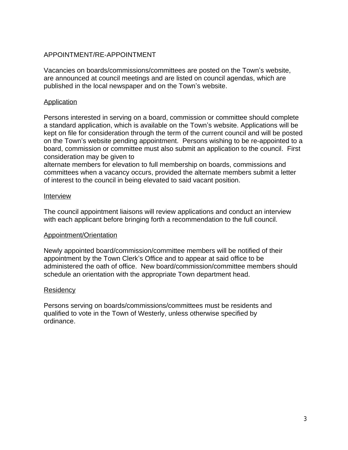#### APPOINTMENT/RE-APPOINTMENT

Vacancies on boards/commissions/committees are posted on the Town's website, are announced at council meetings and are listed on council agendas, which are published in the local newspaper and on the Town's website.

#### Application

Persons interested in serving on a board, commission or committee should complete a standard application, which is available on the Town's website. Applications will be kept on file for consideration through the term of the current council and will be posted on the Town's website pending appointment. Persons wishing to be re-appointed to a board, commission or committee must also submit an application to the council. First consideration may be given to

alternate members for elevation to full membership on boards, commissions and committees when a vacancy occurs, provided the alternate members submit a letter of interest to the council in being elevated to said vacant position.

#### Interview

The council appointment liaisons will review applications and conduct an interview with each applicant before bringing forth a recommendation to the full council.

#### Appointment/Orientation

Newly appointed board/commission/committee members will be notified of their appointment by the Town Clerk's Office and to appear at said office to be administered the oath of office. New board/commission/committee members should schedule an orientation with the appropriate Town department head.

#### **Residency**

Persons serving on boards/commissions/committees must be residents and qualified to vote in the Town of Westerly, unless otherwise specified by ordinance.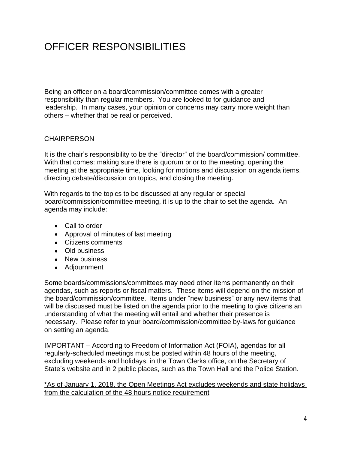### OFFICER RESPONSIBILITIES

Being an officer on a board/commission/committee comes with a greater responsibility than regular members. You are looked to for guidance and leadership. In many cases, your opinion or concerns may carry more weight than others – whether that be real or perceived.

#### **CHAIRPERSON**

It is the chair's responsibility to be the "director" of the board/commission/ committee. With that comes: making sure there is quorum prior to the meeting, opening the meeting at the appropriate time, looking for motions and discussion on agenda items, directing debate/discussion on topics, and closing the meeting.

With regards to the topics to be discussed at any regular or special board/commission/committee meeting, it is up to the chair to set the agenda. An agenda may include:

- Call to order
- Approval of minutes of last meeting
- Citizens comments
- Old business
- New business
- Adjournment

Some boards/commissions/committees may need other items permanently on their agendas, such as reports or fiscal matters. These items will depend on the mission of the board/commission/committee. Items under "new business" or any new items that will be discussed must be listed on the agenda prior to the meeting to give citizens an understanding of what the meeting will entail and whether their presence is necessary. Please refer to your board/commission/committee by-laws for guidance on setting an agenda.

IMPORTANT – According to Freedom of Information Act (FOIA), agendas for all regularly-scheduled meetings must be posted within 48 hours of the meeting, excluding weekends and holidays, in the Town Clerks office, on the Secretary of State's website and in 2 public places, such as the Town Hall and the Police Station.

\*As of January 1, 2018, the Open Meetings Act excludes weekends and state holidays from the calculation of the 48 hours notice requirement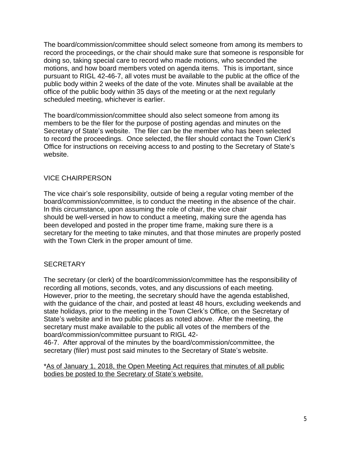The board/commission/committee should select someone from among its members to record the proceedings, or the chair should make sure that someone is responsible for doing so, taking special care to record who made motions, who seconded the motions, and how board members voted on agenda items. This is important, since pursuant to RIGL 42-46-7, all votes must be available to the public at the office of the public body within 2 weeks of the date of the vote. Minutes shall be available at the office of the public body within 35 days of the meeting or at the next regularly scheduled meeting, whichever is earlier.

The board/commission/committee should also select someone from among its members to be the filer for the purpose of posting agendas and minutes on the Secretary of State's website. The filer can be the member who has been selected to record the proceedings. Once selected, the filer should contact the Town Clerk's Office for instructions on receiving access to and posting to the Secretary of State's website.

#### VICE CHAIRPERSON

The vice chair's sole responsibility, outside of being a regular voting member of the board/commission/committee, is to conduct the meeting in the absence of the chair. In this circumstance, upon assuming the role of chair, the vice chair should be well-versed in how to conduct a meeting, making sure the agenda has been developed and posted in the proper time frame, making sure there is a secretary for the meeting to take minutes, and that those minutes are properly posted with the Town Clerk in the proper amount of time.

#### **SECRETARY**

The secretary (or clerk) of the board/commission/committee has the responsibility of recording all motions, seconds, votes, and any discussions of each meeting. However, prior to the meeting, the secretary should have the agenda established, with the guidance of the chair, and posted at least 48 hours, excluding weekends and state holidays, prior to the meeting in the Town Clerk's Office, on the Secretary of State's website and in two public places as noted above. After the meeting, the secretary must make available to the public all votes of the members of the board/commission/committee pursuant to RIGL 42-

46-7. After approval of the minutes by the board/commission/committee, the secretary (filer) must post said minutes to the Secretary of State's website.

\*As of January 1, 2018, the Open Meeting Act requires that minutes of all public bodies be posted to the Secretary of State's website.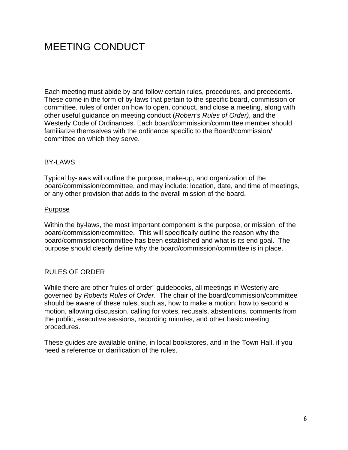### MEETING CONDUCT

Each meeting must abide by and follow certain rules, procedures, and precedents. These come in the form of by-laws that pertain to the specific board, commission or committee, rules of order on how to open, conduct, and close a meeting, along with other useful guidance on meeting conduct (*Robert's Rules of Order)*, and the Westerly Code of Ordinances. Each board/commission/committee member should familiarize themselves with the ordinance specific to the Board/commission/ committee on which they serve.

#### **BY-LAWS**

Typical by-laws will outline the purpose, make-up, and organization of the board/commission/committee, and may include: location, date, and time of meetings, or any other provision that adds to the overall mission of the board.

#### Purpose

Within the by-laws, the most important component is the purpose, or mission, of the board/commission/committee. This will specifically outline the reason why the board/commission/committee has been established and what is its end goal. The purpose should clearly define why the board/commission/committee is in place.

#### RULES OF ORDER

While there are other "rules of order" guidebooks, all meetings in Westerly are governed by *Roberts Rules of Order*. The chair of the board/commission/committee should be aware of these rules, such as, how to make a motion, how to second a motion, allowing discussion, calling for votes, recusals, abstentions, comments from the public, executive sessions, recording minutes, and other basic meeting procedures.

These guides are available online, in local bookstores, and in the Town Hall, if you need a reference or clarification of the rules.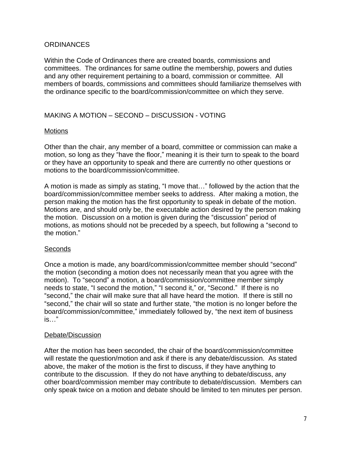#### **ORDINANCES**

Within the Code of Ordinances there are created boards, commissions and committees. The ordinances for same outline the membership, powers and duties and any other requirement pertaining to a board, commission or committee. All members of boards, commissions and committees should familiarize themselves with the ordinance specific to the board/commission/committee on which they serve.

#### MAKING A MOTION – SECOND – DISCUSSION - VOTING

#### **Motions**

Other than the chair, any member of a board, committee or commission can make a motion, so long as they "have the floor," meaning it is their turn to speak to the board or they have an opportunity to speak and there are currently no other questions or motions to the board/commission/committee.

A motion is made as simply as stating, "I move that…" followed by the action that the board/commission/committee member seeks to address. After making a motion, the person making the motion has the first opportunity to speak in debate of the motion. Motions are, and should only be, the executable action desired by the person making the motion. Discussion on a motion is given during the "discussion" period of motions, as motions should not be preceded by a speech, but following a "second to the motion."

#### **Seconds**

Once a motion is made, any board/commission/committee member should "second" the motion (seconding a motion does not necessarily mean that you agree with the motion). To "second" a motion, a board/commission/committee member simply needs to state, "I second the motion," "I second it," or, "Second." If there is no "second," the chair will make sure that all have heard the motion. If there is still no "second," the chair will so state and further state, "the motion is no longer before the board/commission/committee," immediately followed by, "the next item of business is…"

#### Debate/Discussion

After the motion has been seconded, the chair of the board/commission/committee will restate the question/motion and ask if there is any debate/discussion. As stated above, the maker of the motion is the first to discuss, if they have anything to contribute to the discussion. If they do not have anything to debate/discuss, any other board/commission member may contribute to debate/discussion. Members can only speak twice on a motion and debate should be limited to ten minutes per person.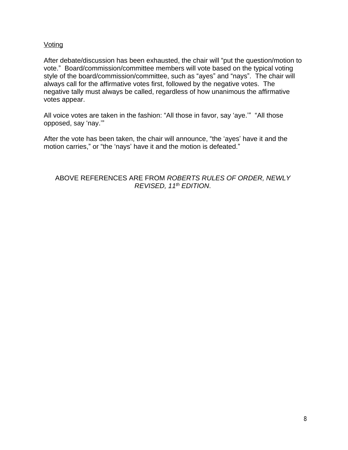#### **Voting**

After debate/discussion has been exhausted, the chair will "put the question/motion to vote." Board/commission/committee members will vote based on the typical voting style of the board/commission/committee, such as "ayes" and "nays". The chair will always call for the affirmative votes first, followed by the negative votes. The negative tally must always be called, regardless of how unanimous the affirmative votes appear.

All voice votes are taken in the fashion: "All those in favor, say 'aye.'" "All those opposed, say 'nay.'"

After the vote has been taken, the chair will announce, "the 'ayes' have it and the motion carries," or "the 'nays' have it and the motion is defeated."

#### ABOVE REFERENCES ARE FROM *ROBERTS RULES OF ORDER, NEWLY REVISED, 11 th EDITION*.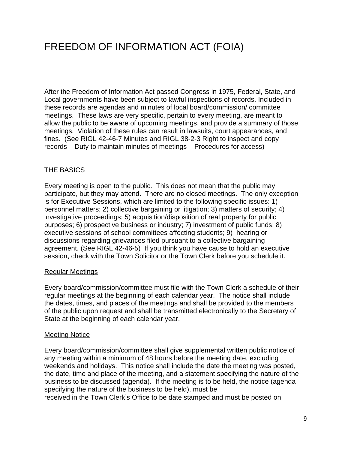### FREEDOM OF INFORMATION ACT (FOIA)

After the Freedom of Information Act passed Congress in 1975, Federal, State, and Local governments have been subject to lawful inspections of records. Included in these records are agendas and minutes of local board/commission/ committee meetings. These laws are very specific, pertain to every meeting, are meant to allow the public to be aware of upcoming meetings, and provide a summary of those meetings. Violation of these rules can result in lawsuits, court appearances, and fines. (See RIGL 42-46-7 Minutes and RIGL 38-2-3 Right to inspect and copy records – Duty to maintain minutes of meetings – Procedures for access)

#### THE BASICS

Every meeting is open to the public. This does not mean that the public may participate, but they may attend. There are no closed meetings. The only exception is for Executive Sessions, which are limited to the following specific issues: 1) personnel matters; 2) collective bargaining or litigation; 3) matters of security; 4) investigative proceedings; 5) acquisition/disposition of real property for public purposes; 6) prospective business or industry; 7) investment of public funds; 8) executive sessions of school committees affecting students; 9) hearing or discussions regarding grievances filed pursuant to a collective bargaining agreement. (See RIGL 42-46-5) If you think you have cause to hold an executive session, check with the Town Solicitor or the Town Clerk before you schedule it.

#### Regular Meetings

Every board/commission/committee must file with the Town Clerk a schedule of their regular meetings at the beginning of each calendar year. The notice shall include the dates, times, and places of the meetings and shall be provided to the members of the public upon request and shall be transmitted electronically to the Secretary of State at the beginning of each calendar year.

#### Meeting Notice

Every board/commission/committee shall give supplemental written public notice of any meeting within a minimum of 48 hours before the meeting date, excluding weekends and holidays. This notice shall include the date the meeting was posted, the date, time and place of the meeting, and a statement specifying the nature of the business to be discussed (agenda). If the meeting is to be held, the notice (agenda specifying the nature of the business to be held), must be received in the Town Clerk's Office to be date stamped and must be posted on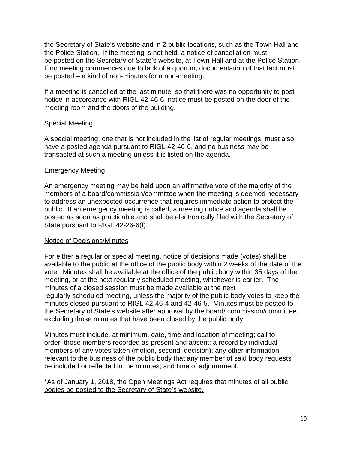the Secretary of State's website and in 2 public locations, such as the Town Hall and the Police Station. If the meeting is not held, a notice of cancellation must be posted on the Secretary of State's website, at Town Hall and at the Police Station. If no meeting commences due to lack of a quorum, documentation of that fact must be posted – a kind of non-minutes for a non-meeting.

If a meeting is cancelled at the last minute, so that there was no opportunity to post notice in accordance with RIGL 42-46-6, notice must be posted on the door of the meeting room and the doors of the building.

#### Special Meeting

A special meeting, one that is not included in the list of regular meetings, must also have a posted agenda pursuant to RIGL 42-46-6, and no business may be transacted at such a meeting unless it is listed on the agenda.

#### Emergency Meeting

An emergency meeting may be held upon an affirmative vote of the majority of the members of a board/commission/committee when the meeting is deemed necessary to address an unexpected occurrence that requires immediate action to protect the public. If an emergency meeting is called, a meeting notice and agenda shall be posted as soon as practicable and shall be electronically filed with the Secretary of State pursuant to RIGL 42-26-6(f).

#### Notice of Decisions/Minutes

For either a regular or special meeting, notice of decisions made (votes) shall be available to the public at the office of the public body within 2 weeks of the date of the vote. Minutes shall be available at the office of the public body within 35 days of the meeting, or at the next regularly scheduled meeting, whichever is earlier. The minutes of a closed session must be made available at the next regularly scheduled meeting, unless the majority of the public body votes to keep the minutes closed pursuant to RIGL 42-46-4 and 42-46-5. Minutes must be posted to the Secretary of State's website after approval by the board/ commission/committee, excluding those minutes that have been closed by the public body.

Minutes must include, at minimum, date, time and location of meeting; call to order; those members recorded as present and absent; a record by individual members of any votes taken (motion, second, decision); any other information relevant to the business of the public body that any member of said body requests be included or reflected in the minutes; and time of adjournment.

\*As of January 1, 2018, the Open Meetings Act requires that minutes of all public bodies be posted to the Secretary of State's website.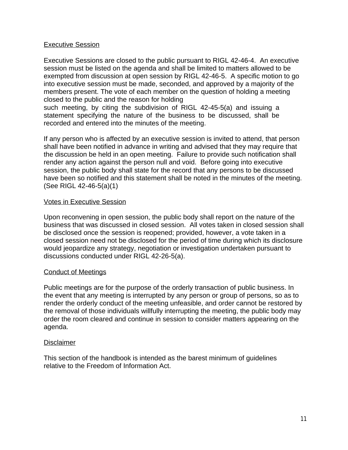#### Executive Session

Executive Sessions are closed to the public pursuant to RIGL 42-46-4. An executive session must be listed on the agenda and shall be limited to matters allowed to be exempted from discussion at open session by RIGL 42-46-5. A specific motion to go into executive session must be made, seconded, and approved by a majority of the members present. The vote of each member on the question of holding a meeting closed to the public and the reason for holding

such meeting, by citing the subdivision of RIGL 42-45-5(a) and issuing a statement specifying the nature of the business to be discussed, shall be recorded and entered into the minutes of the meeting.

If any person who is affected by an executive session is invited to attend, that person shall have been notified in advance in writing and advised that they may require that the discussion be held in an open meeting. Failure to provide such notification shall render any action against the person null and void. Before going into executive session, the public body shall state for the record that any persons to be discussed have been so notified and this statement shall be noted in the minutes of the meeting. (See RIGL 42-46-5(a)(1)

#### Votes in Executive Session

Upon reconvening in open session, the public body shall report on the nature of the business that was discussed in closed session. All votes taken in closed session shall be disclosed once the session is reopened; provided, however, a vote taken in a closed session need not be disclosed for the period of time during which its disclosure would jeopardize any strategy, negotiation or investigation undertaken pursuant to discussions conducted under RIGL 42-26-5(a).

#### Conduct of Meetings

Public meetings are for the purpose of the orderly transaction of public business. In the event that any meeting is interrupted by any person or group of persons, so as to render the orderly conduct of the meeting unfeasible, and order cannot be restored by the removal of those individuals willfully interrupting the meeting, the public body may order the room cleared and continue in session to consider matters appearing on the agenda.

#### Disclaimer

This section of the handbook is intended as the barest minimum of guidelines relative to the Freedom of Information Act.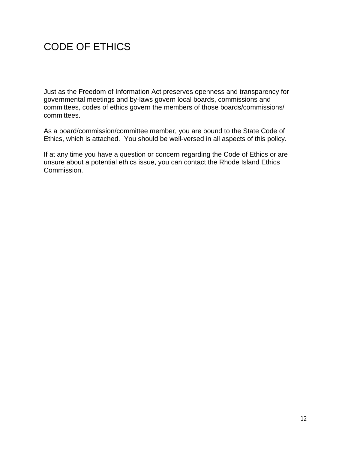### CODE OF ETHICS

Just as the Freedom of Information Act preserves openness and transparency for governmental meetings and by-laws govern local boards, commissions and committees, codes of ethics govern the members of those boards/commissions/ committees.

As a board/commission/committee member, you are bound to the State Code of Ethics, which is attached. You should be well-versed in all aspects of this policy.

If at any time you have a question or concern regarding the Code of Ethics or are unsure about a potential ethics issue, you can contact the Rhode Island Ethics Commission.